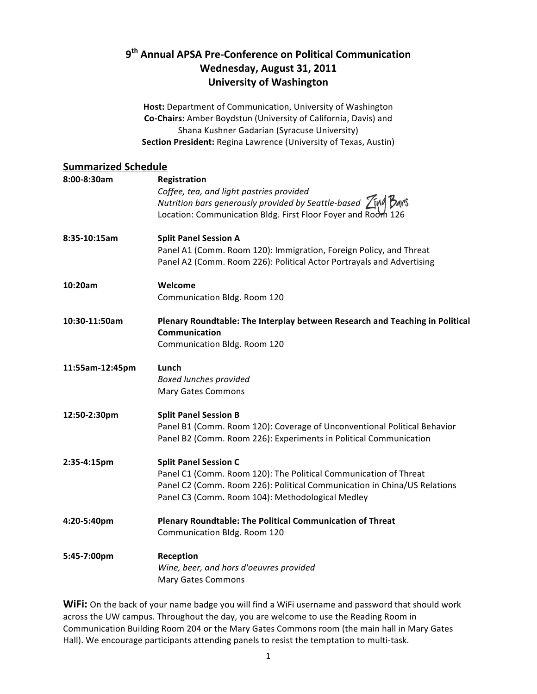# **9th Annual\$APSA\$Pre.Conference\$on\$Political\$Communication** Wednesday, August 31, 2011 **University of Washington**

Host: Department of Communication, University of Washington **Co-Chairs:** Amber Boydstun (University of California, Davis) and Shana Kushner Gadarian (Syracuse University) **Section President: Regina Lawrence (University of Texas, Austin)** 

## **Summarized Schedule**

| 8:00-8:30am     | Registration<br>Coffee, tea, and light pastries provided<br>Nutrition bars generously provided by Seattle-based $Z_{M}$ $\beta_{A}$ ms<br>Location: Communication Bldg. First Floor Foyer and Room 126                           |
|-----------------|----------------------------------------------------------------------------------------------------------------------------------------------------------------------------------------------------------------------------------|
| 8:35-10:15am    | <b>Split Panel Session A</b><br>Panel A1 (Comm. Room 120): Immigration, Foreign Policy, and Threat<br>Panel A2 (Comm. Room 226): Political Actor Portrayals and Advertising                                                      |
| 10:20am         | Welcome<br>Communication Bldg. Room 120                                                                                                                                                                                          |
| 10:30-11:50am   | Plenary Roundtable: The Interplay between Research and Teaching in Political<br>Communication<br>Communication Bldg. Room 120                                                                                                    |
| 11:55am-12:45pm | Lunch<br><b>Boxed lunches provided</b><br><b>Mary Gates Commons</b>                                                                                                                                                              |
| 12:50-2:30pm    | <b>Split Panel Session B</b><br>Panel B1 (Comm. Room 120): Coverage of Unconventional Political Behavior<br>Panel B2 (Comm. Room 226): Experiments in Political Communication                                                    |
| 2:35-4:15pm     | <b>Split Panel Session C</b><br>Panel C1 (Comm. Room 120): The Political Communication of Threat<br>Panel C2 (Comm. Room 226): Political Communication in China/US Relations<br>Panel C3 (Comm. Room 104): Methodological Medley |
| 4:20-5:40pm     | Plenary Roundtable: The Political Communication of Threat<br>Communication Bldg. Room 120                                                                                                                                        |
| 5:45-7:00pm     | Reception<br>Wine, beer, and hors d'oeuvres provided<br><b>Mary Gates Commons</b>                                                                                                                                                |

WiFi: On the back of your name badge you will find a WiFi username and password that should work across the UW campus. Throughout the day, you are welcome to use the Reading Room in Communication Building Room 204 or the Mary Gates Commons room (the main hall in Mary Gates Hall). We encourage participants attending panels to resist the temptation to multi-task.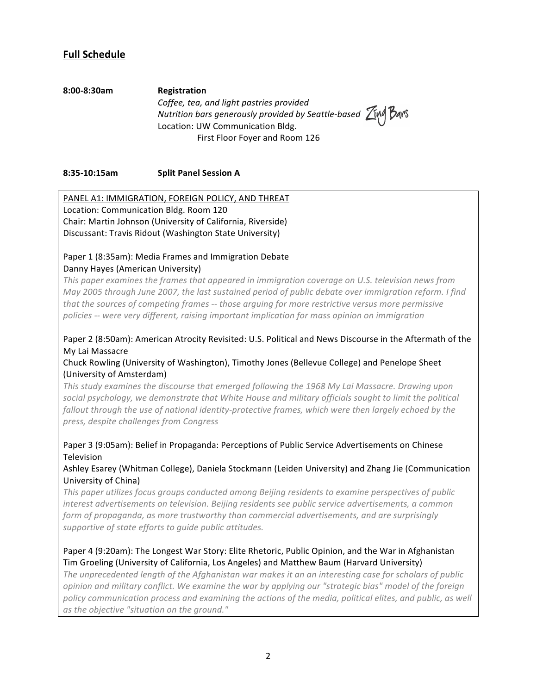## **Full Schedule**

**8:00.8:30am Registration** *Coffee, tea, and light pastries provided Nutrition bars generously provided by Seattle-based <i>Zime Bars* Location: UW Communication Bldg. First Floor Foyer and Room 126

**8:35-10:15am Split Panel Session A** 

PANEL A1: IMMIGRATION, FOREIGN POLICY, AND THREAT Location: Communication Bldg. Room 120 Chair: Martin Johnson (University of California, Riverside) Discussant: Travis Ridout (Washington State University)

## Paper 1 (8:35am): Media Frames and Immigration Debate Danny Hayes (American University)

This paper examines the frames that appeared in immigration coverage on U.S. television news from *May 2005 through June 2007, the last sustained period of public debate over immigration reform. I find* that the sources of competing frames -- those arguing for more restrictive versus more permissive policies -- were very different, raising important implication for mass opinion on immigration

## Paper 2 (8:50am): American Atrocity Revisited: U.S. Political and News Discourse in the Aftermath of the My Lai Massacre

## Chuck Rowling (University of Washington), Timothy Jones (Bellevue College) and Penelope Sheet (University of Amsterdam)

This study examines the discourse that emerged following the 1968 My Lai Massacre. Drawing upon *social&psychology,&we&demonstrate&that&White&House&and&military&officials&sought&to&limit&the&political&* fallout through the use of national identity-protective frames, which were then largely echoed by the *press,&despite&challenges&from&Congress*

## Paper 3 (9:05am): Belief in Propaganda: Perceptions of Public Service Advertisements on Chinese Television

## Ashley Esarey (Whitman College), Daniela Stockmann (Leiden University) and Zhang Jie (Communication University of China)

This paper utilizes focus groups conducted among Beijing residents to examine perspectives of public *interest advertisements on television. Beijing residents see public service advertisements, a common* form of propaganda, as more trustworthy than commercial advertisements, and are surprisingly supportive of state efforts to quide public attitudes.

## Paper 4 (9:20am): The Longest War Story: Elite Rhetoric, Public Opinion, and the War in Afghanistan Tim Groeling (University of California, Los Angeles) and Matthew Baum (Harvard University)

The unprecedented length of the Afghanistan war makes it an an interesting case for scholars of public *opinion&and&military&conflict.&We&examine&the&war&by&applying&our&"strategic&bias"&model&of&the&foreign&* policy communication process and examining the actions of the media, political elites, and public, as well as the objective "situation on the ground."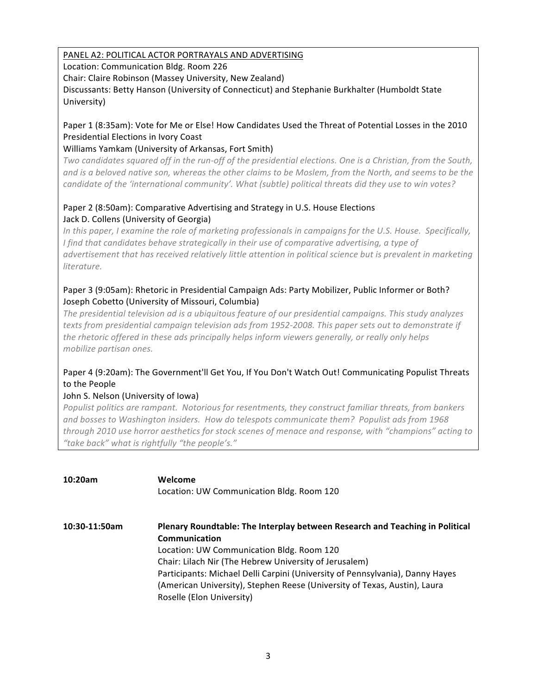## PANEL A2: POLITICAL ACTOR PORTRAYALS AND ADVERTISING

Location: Communication Bldg. Room 226

Chair: Claire Robinson (Massey University, New Zealand)

Discussants: Betty Hanson (University of Connecticut) and Stephanie Burkhalter (Humboldt State University)

## Paper 1 (8:35am): Vote for Me or Else! How Candidates Used the Threat of Potential Losses in the 2010 Presidential Elections in Ivory Coast

## Williams Yamkam (University of Arkansas, Fort Smith)

*Two candidates squared off in the run-off of the presidential elections. One is a Christian, from the South,* and is a beloved native son, whereas the other claims to be Moslem, from the North, and seems to be the candidate of the 'international community'. What (subtle) political threats did they use to win votes?

## Paper 2 (8:50am): Comparative Advertising and Strategy in U.S. House Elections Jack D. Collens (University of Georgia)

*In this paper, I examine the role of marketing professionals in campaigns for the U.S. House. Specifically, I* find that candidates behave strategically in their use of comparative advertising, a type of *advertisement&that&has&received&relatively&little&attention&in&political&science&but&is&prevalent&in&marketing& literature.*

## Paper 3 (9:05am): Rhetoric in Presidential Campaign Ads: Party Mobilizer, Public Informer or Both? Joseph Cobetto (University of Missouri, Columbia)

The presidential television ad is a ubiquitous feature of our presidential campaigns. This study analyzes texts from presidential campaign television ads from 1952-2008. This paper sets out to demonstrate if the rhetoric offered in these ads principally helps inform viewers generally, or really only helps *mobilize partisan&ones.*

## Paper 4 (9:20am): The Government'll Get You, If You Don't Watch Out! Communicating Populist Threats to the People

## John S. Nelson (University of Iowa)

*Populist politics are rampant. Notorious for resentments, they construct familiar threats, from bankers and&bosses&to&Washington&insiders. How&do&telespots&communicate&them? Populist&ads&from&1968& through 2010 use horror aesthetics for stock scenes of menace and response, with "champions" acting to* "take back" what is rightfully "the people's."

| 10:20am       | Welcome<br>Location: UW Communication Bldg. Room 120                                          |
|---------------|-----------------------------------------------------------------------------------------------|
| 10:30-11:50am | Plenary Roundtable: The Interplay between Research and Teaching in Political<br>Communication |
|               | Location: UW Communication Bldg. Room 120                                                     |
|               | Chair: Lilach Nir (The Hebrew University of Jerusalem)                                        |
|               | Participants: Michael Delli Carpini (University of Pennsylvania), Danny Hayes                 |
|               | (American University), Stephen Reese (University of Texas, Austin), Laura                     |
|               | Roselle (Elon University)                                                                     |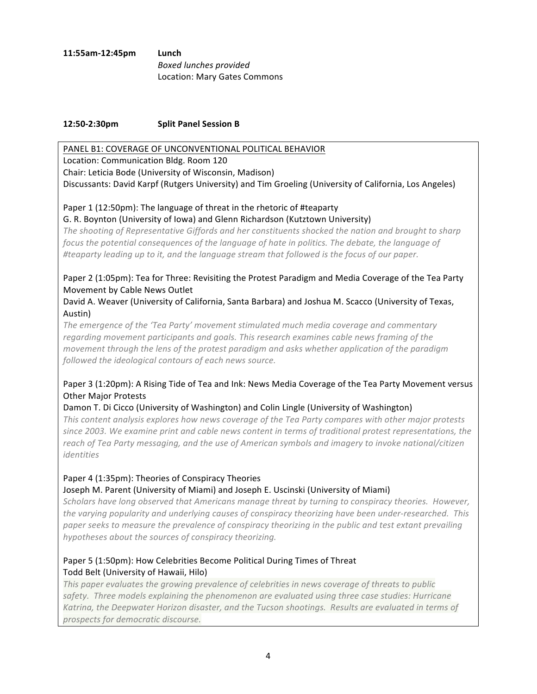**11:55am.12:45pm Lunch Boxed lunches provided** Location: Mary Gates Commons

#### **12:50-2:30pm Split Panel Session B**

#### PANEL B1: COVERAGE OF UNCONVENTIONAL POLITICAL BEHAVIOR

Location: Communication Bldg. Room 120 Chair: Leticia Bode (University of Wisconsin, Madison) Discussants: David Karpf (Rutgers University) and Tim Groeling (University of California, Los Angeles)

## Paper 1 (12:50pm): The language of threat in the rhetoric of #teaparty

#### G. R. Boynton (University of Iowa) and Glenn Richardson (Kutztown University)

The shooting of Representative Giffords and her constituents shocked the nation and brought to sharp *focus the potential consequences of the language of hate in politics. The debate, the language of #teaparty&leading&up&to&it,&and&the&language&stream&that&followed&is&the&focus&of&our&paper.&*

## Paper 2 (1:05pm): Tea for Three: Revisiting the Protest Paradigm and Media Coverage of the Tea Party Movement by Cable News Outlet

David A. Weaver (University of California, Santa Barbara) and Joshua M. Scacco (University of Texas, Austin)

The emergence of the 'Tea Party' movement stimulated much media coverage and commentary regarding movement participants and goals. This research examines cable news framing of the *movement through the lens of the protest paradigm and asks whether application of the paradigm* followed the ideological contours of each news source.

## Paper 3 (1:20pm): A Rising Tide of Tea and Ink: News Media Coverage of the Tea Party Movement versus Other Major Protests

## Damon T. Di Cicco (University of Washington) and Colin Lingle (University of Washington)

This content analysis explores how news coverage of the Tea Party compares with other major protests since 2003. We examine print and cable news content in terms of traditional protest representations, the reach of Tea Party messaging, and the use of American symbols and imagery to invoke national/citizen *identities*

## Paper 4 (1:35pm): Theories of Conspiracy Theories

#### Joseph M. Parent (University of Miami) and Joseph E. Uscinski (University of Miami)

*Scholars&have&long&observed&that&Americans&manage&threat&by&turning&to&conspiracy&theories. However,& the varying popularity and underlying causes of conspiracy theorizing have been under-researched. This* paper seeks to measure the prevalence of conspiracy theorizing in the public and test extant prevailing hypotheses about the sources of conspiracy theorizing.

## Paper 5 (1:50pm): How Celebrities Become Political During Times of Threat Todd Belt (University of Hawaii, Hilo)

*This paper evaluates the growing prevalence of celebrities in news coverage of threats to public* safety. Three models explaining the phenomenon are evaluated using three case studies: Hurricane Katrina, the Deepwater Horizon disaster, and the Tucson shootings. Results are evaluated in terms of *prospects&for&democratic&discourse.*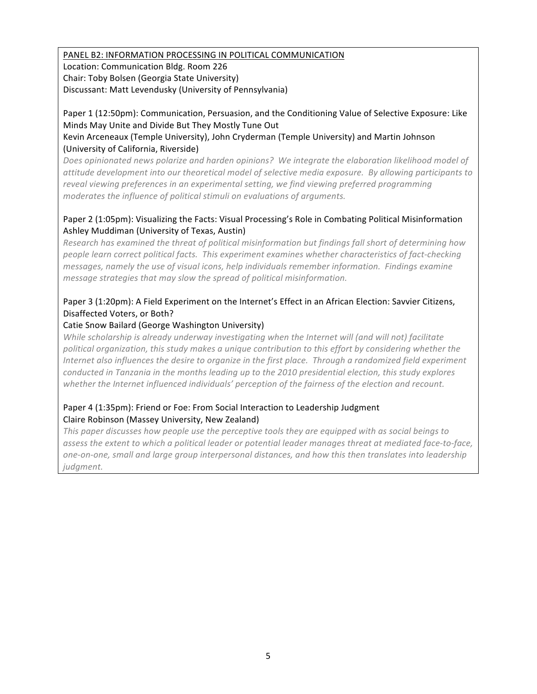## PANEL B2: INFORMATION PROCESSING IN POLITICAL COMMUNICATION

Location: Communication Bldg. Room 226 Chair: Toby Bolsen (Georgia State University) Discussant: Matt Levendusky (University of Pennsylvania)

## Paper 1 (12:50pm): Communication, Persuasion, and the Conditioning Value of Selective Exposure: Like Minds May Unite and Divide But They Mostly Tune Out

## Kevin Arceneaux (Temple University), John Cryderman (Temple University) and Martin Johnson (University of California, Riverside)

Does opinionated news polarize and harden opinions? We integrate the elaboration likelihood model of *attitude&development&into&our&theoretical&model&of&selective&media&exposure.& By&allowing&participants&to&* reveal viewing preferences in an experimental setting, we find viewing preferred programming *moderates the influence of political stimuli on evaluations of arguments.* 

## Paper 2 (1:05pm): Visualizing the Facts: Visual Processing's Role in Combating Political Misinformation Ashley Muddiman (University of Texas, Austin)

*Research has examined the threat of political misinformation but findings fall short of determining how people learn correct political facts. This experiment examines whether characteristics of fact-checking messages, namely the use of visual icons, help individuals remember information. Findings examine message strategies that may slow the spread of political misinformation.* 

## Paper 3 (1:20pm): A Field Experiment on the Internet's Effect in an African Election: Savvier Citizens, Disaffected Voters, or Both?

## Catie Snow Bailard (George Washington University)

*While scholarship is already underway investigating when the Internet will (and will not) facilitate political&organization,&this&study&makes&a&unique&contribution&to&this&effort&by&considering&whether&the& Internet also influences the desire to organize in the first place. Through a randomized field experiment conducted in Tanzania in the months leading up to the 2010 presidential election, this study explores* whether the Internet influenced individuals' perception of the fairness of the election and recount.

#### Paper 4 (1:35pm): Friend or Foe: From Social Interaction to Leadership Judgment Claire Robinson (Massey University, New Zealand)

This paper discusses how people use the perceptive tools they are equipped with as social beings to assess the extent to which a political leader or potential leader manages threat at mediated face-to-face, one-on-one, small and large group interpersonal distances, and how this then translates into leadership *judgment.*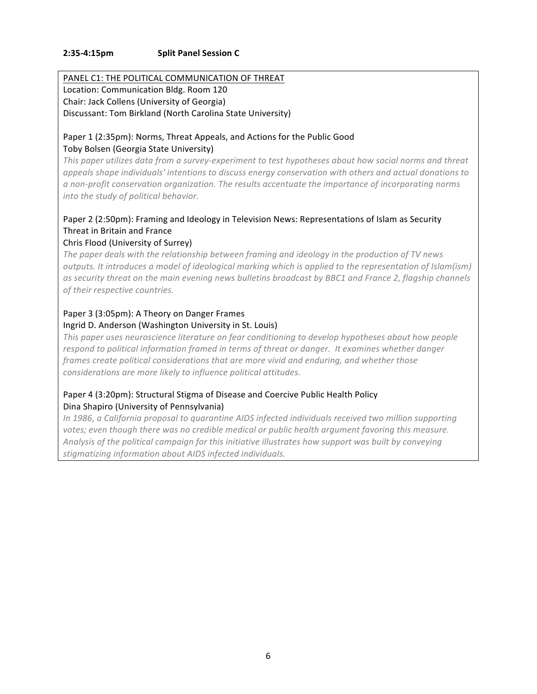#### **2:35-4:15pm Split Panel Session C**

#### PANEL C1: THE POLITICAL COMMUNICATION OF THREAT Location: Communication Bldg. Room 120 Chair: Jack Collens (University of Georgia) Discussant: Tom Birkland (North Carolina State University)

## Paper 1 (2:35pm): Norms, Threat Appeals, and Actions for the Public Good Toby Bolsen (Georgia State University)

*This paper utilizes data from a survey-experiment to test hypotheses about how social norms and threat* appeals shape individuals' intentions to discuss energy conservation with others and actual donations to a non-profit conservation organization. The results accentuate the importance of incorporating norms *into the study of political behavior.* 

## Paper 2 (2:50pm): Framing and Ideology in Television News: Representations of Islam as Security Threat in Britain and France

#### Chris Flood (University of Surrey)

The paper deals with the relationship between framing and ideology in the production of TV news *outputs. It introduces a model of ideological marking which is applied to the representation of Islam(ism)* as security threat on the main evening news bulletins broadcast by BBC1 and France 2, flagship channels  $of$  their respective countries.

# Paper 3 (3:05pm): A Theory on Danger Frames

## Ingrid D. Anderson (Washington University in St. Louis)

*This paper uses neuroscience literature on fear conditioning to develop hypotheses about how people respond&to&political&information&framed&in&terms of&threat&or&danger.& It&examines&whether&danger&* frames create political considerations that are more vivid and enduring, and whether those  $considerations$  are more likely to influence political attitudes.

## Paper 4 (3:20pm): Structural Stigma of Disease and Coercive Public Health Policy Dina Shapiro (University of Pennsylvania)

*In 1986, a California proposal to quarantine AIDS infected individuals received two million supporting votes; even though there was no credible medical or public health argument favoring this measure.* Analysis of the political campaign for this initiative illustrates how support was built by conveying stigmatizing information about AIDS infected individuals.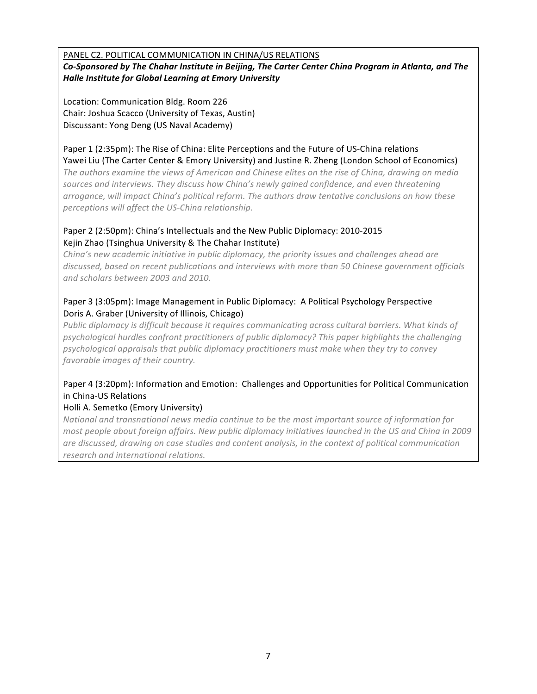PANEL C2. POLITICAL COMMUNICATION IN CHINA/US RELATIONS *Co-Sponsored by The Chahar Institute in Beijing, The Carter Center China Program in Atlanta, and The* **Halle Institute for Global Learning at Emory University** 

Location: Communication Bldg. Room 226 Chair: Joshua Scacco (University of Texas, Austin) Discussant: Yong Deng (US Naval Academy)

### Paper 1 (2:35pm): The Rise of China: Elite Perceptions and the Future of US-China relations Yawei Liu (The Carter Center & Emory University) and Justine R. Zheng (London School of Economics)

*The authors examine the views of American and Chinese elites on the rise of China, drawing on media* sources and interviews. They discuss how China's newly gained confidence, and even threatening  $arrogance$ , will impact China's political reform. The authors draw tentative conclusions on how these perceptions will affect the US-China relationship.

## Paper 2 (2:50pm): China's Intellectuals and the New Public Diplomacy: 2010-2015 Kejin Zhao (Tsinghua University & The Chahar Institute)

*China's new academic initiative in public diplomacy, the priority issues and challenges ahead are* discussed, based on recent publications and interviews with more than 50 Chinese government officials *and&scholars&between&2003&and&2010.&*

## Paper 3 (3:05pm): Image Management in Public Diplomacy: A Political Psychology Perspective Doris A. Graber (University of Illinois, Chicago)

Public diplomacy is difficult because it requires communicating across cultural barriers. What kinds of psychological hurdles confront practitioners of public diplomacy? This paper highlights the challenging psychological appraisals that public diplomacy practitioners must make when they try to convey favorable images of their country.

## Paper 4 (3:20pm): Information and Emotion: Challenges and Opportunities for Political Communication in China-US Relations

## Holli A. Semetko (Emory University)

*National&and&transnational&news&media&continue&to&be&the&most&important&source&of&information&for&* most people about foreign affairs. New public diplomacy initiatives launched in the US and China in 2009 are discussed, drawing on case studies and content analysis, in the context of political communication  $r$ *esearch and international relations.*